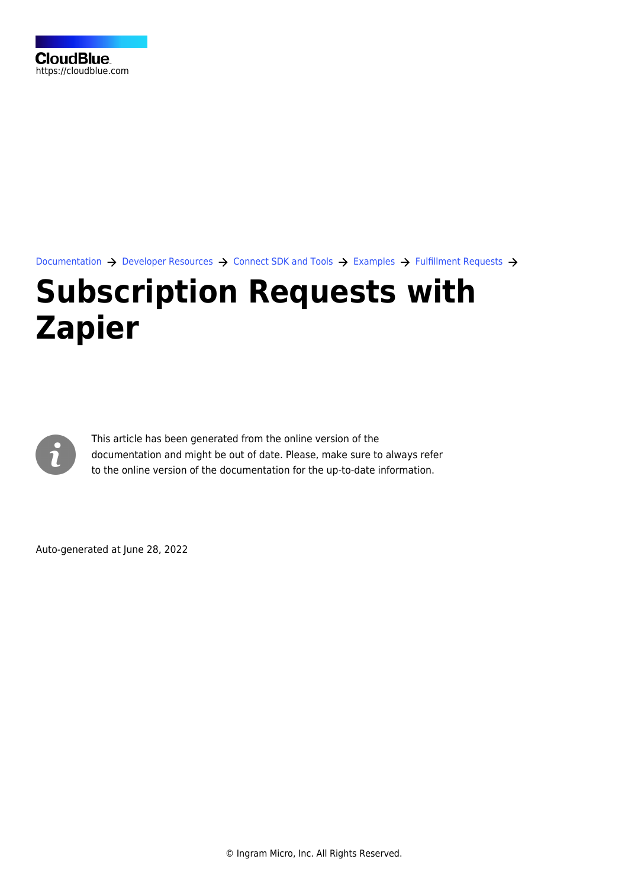

[Documentation](https://connect.cloudblue.com/documentation)  $\rightarrow$  [Developer Resources](https://connect.cloudblue.com/community/developers/)  $\rightarrow$  [Connect SDK and Tools](https://connect.cloudblue.com/community/developers/sdk/)  $\rightarrow$  [Examples](https://connect.cloudblue.com/community/developers/sdk/vendor-scenario-example/)  $\rightarrow$  [Fulfillment Requests](https://connect.cloudblue.com/community/developers/sdk/vendor-scenario-example/manage-asset/)  $\rightarrow$ 

## **[Subscription Requests with](https://connect.cloudblue.com/community/developers/sdk/vendor-scenario-example/manage-asset/fulfillment-scenario-with-zapier/) [Zapier](https://connect.cloudblue.com/community/developers/sdk/vendor-scenario-example/manage-asset/fulfillment-scenario-with-zapier/)**



This article has been generated from the online version of the documentation and might be out of date. Please, make sure to always refer to the online version of the documentation for the up-to-date information.

Auto-generated at June 28, 2022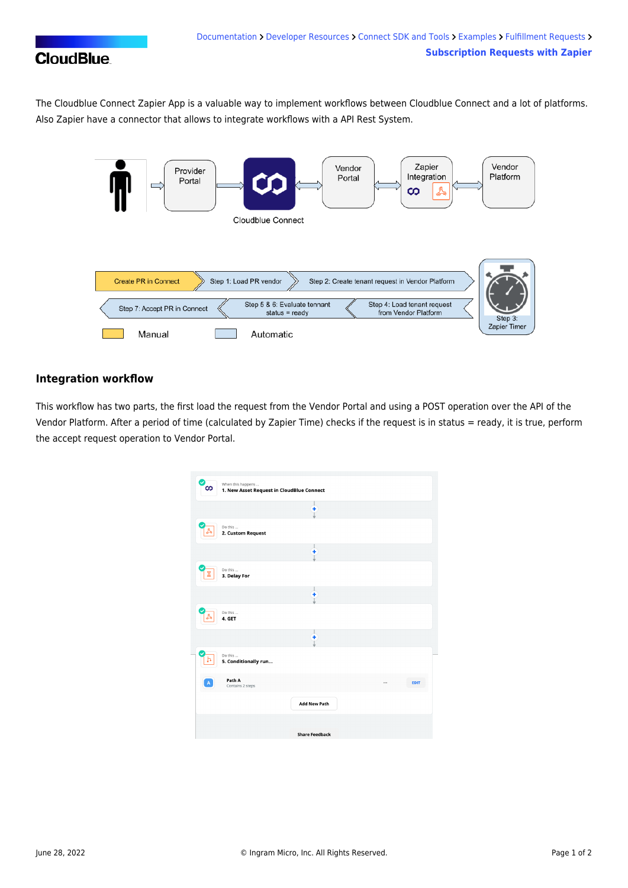## **CloudBlue**

The Cloudblue Connect Zapier App is a valuable way to implement workflows between Cloudblue Connect and a lot of platforms. Also Zapier have a connector that allows to integrate workflows with a API Rest System.



## **Integration workflow**

This workflow has two parts, the first load the request from the Vendor Portal and using a POST operation over the API of the Vendor Platform. After a period of time (calculated by Zapier Time) checks if the request is in status = ready, it is true, perform the accept request operation to Vendor Portal.

| ✓Г<br>ထ     | When this happens<br>1. New Asset Request in CloudBlue Connect |                       |                 |
|-------------|----------------------------------------------------------------|-----------------------|-----------------|
|             |                                                                | ٠                     |                 |
|             | Do this<br>2. Custom Request                                   |                       |                 |
|             |                                                                | ŧ                     |                 |
|             | Do this<br>3. Delay For                                        |                       |                 |
|             |                                                                | ٠                     |                 |
|             | Do this<br>4. GET                                              |                       |                 |
|             |                                                                | ÷                     |                 |
| n           | Do this<br>5. Conditionally run                                |                       |                 |
| $\mathbb A$ | Path A<br>Contains 2 steps                                     |                       | <br><b>EDIT</b> |
|             |                                                                | <b>Add New Path</b>   |                 |
|             |                                                                | <b>Share Feedback</b> |                 |